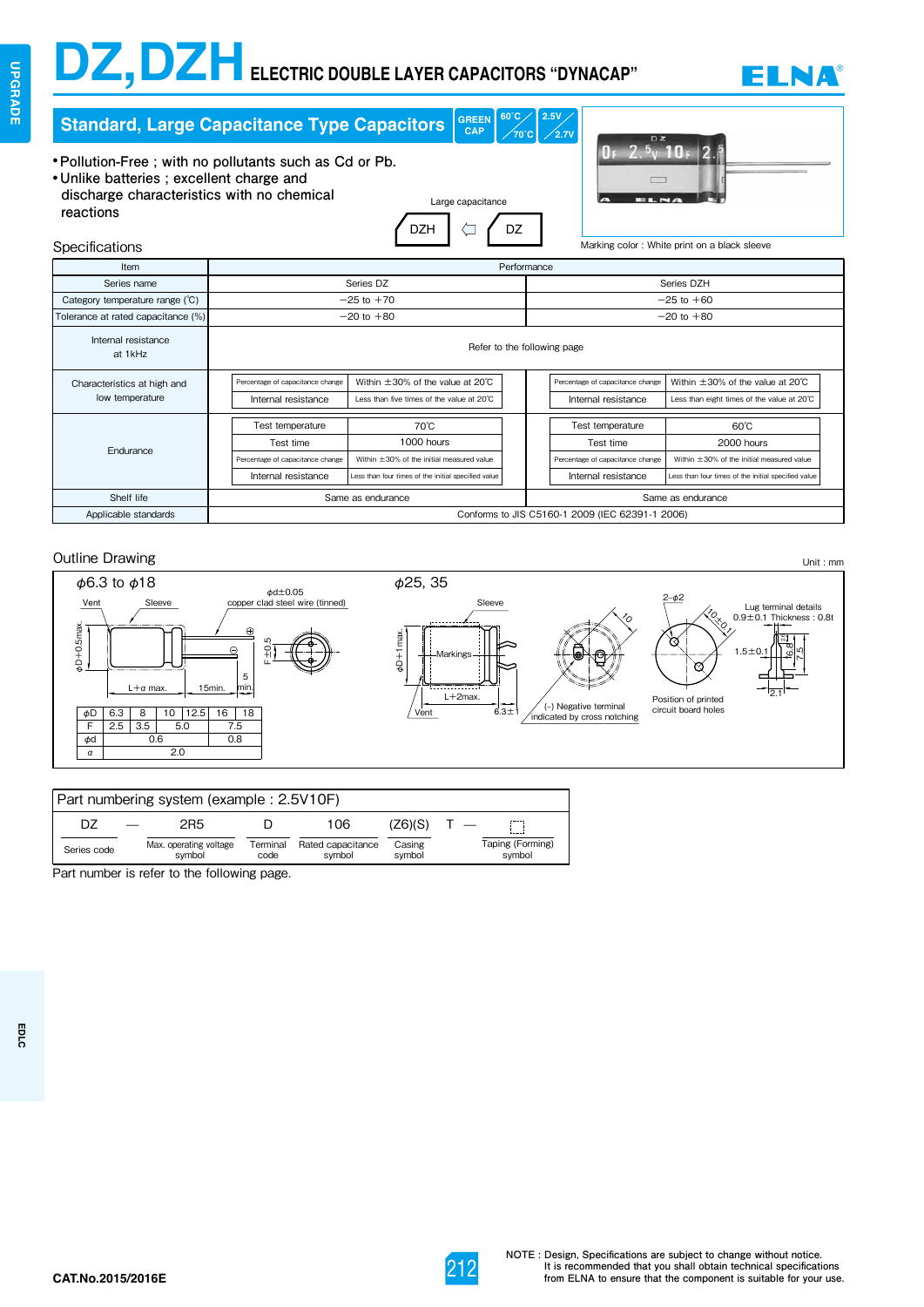# **DZ,DZH ELECTRIC DOUBLE LAYER CAPACITORS "DYNACAP"** ® **DZ,DZH** ® **ELECTRIC DOUBLE LAYER CAPACITORS "DYNACAP"**



| $60^{\circ}$ C<br>2.5V<br><b>GREEN</b><br><b>Standard, Large Capacitance Type Capacitors</b><br><b>CAP</b><br>$\sqrt{70}$ °C $\vert$<br>$\sqrt{2.7}$ V                                                                                                 |                                                                                          |                                                                                                                                  |                |                |                                                                                          |                                                                                                                                  |  |  |
|--------------------------------------------------------------------------------------------------------------------------------------------------------------------------------------------------------------------------------------------------------|------------------------------------------------------------------------------------------|----------------------------------------------------------------------------------------------------------------------------------|----------------|----------------|------------------------------------------------------------------------------------------|----------------------------------------------------------------------------------------------------------------------------------|--|--|
| • Pollution-Free; with no pollutants such as Cd or Pb.<br>• Unlike batteries; excellent charge and<br>discharge characteristics with no chemical<br>Large capacitance<br>reactions<br><b>DZH</b><br>DZ<br>Marking color: White print on a black sleeve |                                                                                          |                                                                                                                                  |                |                |                                                                                          |                                                                                                                                  |  |  |
| Specifications<br>Item                                                                                                                                                                                                                                 |                                                                                          |                                                                                                                                  | Performance    |                |                                                                                          |                                                                                                                                  |  |  |
| Series name                                                                                                                                                                                                                                            |                                                                                          | Series DZ                                                                                                                        |                |                |                                                                                          | Series DZH                                                                                                                       |  |  |
| Category temperature range (°C)                                                                                                                                                                                                                        |                                                                                          | $-25$ to $+70$                                                                                                                   |                | $-25$ to $+60$ |                                                                                          |                                                                                                                                  |  |  |
| Tolerance at rated capacitance (%)                                                                                                                                                                                                                     | $-20$ to $+80$                                                                           |                                                                                                                                  | $-20$ to $+80$ |                |                                                                                          |                                                                                                                                  |  |  |
| Internal resistance<br>at 1kHz                                                                                                                                                                                                                         | Refer to the following page                                                              |                                                                                                                                  |                |                |                                                                                          |                                                                                                                                  |  |  |
| Characteristics at high and<br>low temperature                                                                                                                                                                                                         | Percentage of capacitance change<br>Internal resistance                                  | Within $\pm 30\%$ of the value at 20 $\degree$ C<br>Less than five times of the value at 20°C                                    |                |                | Percentage of capacitance change<br>Internal resistance                                  | Within $\pm 30\%$ of the value at 20 $\degree$ C<br>Less than eight times of the value at 20°C                                   |  |  |
| Endurance                                                                                                                                                                                                                                              | Test temperature<br>Test time<br>Percentage of capacitance change<br>Internal resistance | $70^{\circ}$ C<br>1000 hours<br>Within ±30% of the initial measured value<br>Less than four times of the initial specified value |                |                | Test temperature<br>Test time<br>Percentage of capacitance change<br>Internal resistance | $60^{\circ}$ C<br>2000 hours<br>Within ±30% of the initial measured value<br>Less than four times of the initial specified value |  |  |
| Shelf life                                                                                                                                                                                                                                             | Same as endurance<br>Same as endurance                                                   |                                                                                                                                  |                |                |                                                                                          |                                                                                                                                  |  |  |
| Applicable standards                                                                                                                                                                                                                                   | Conforms to JIS C5160-1 2009 (IEC 62391-1 2006)                                          |                                                                                                                                  |                |                |                                                                                          |                                                                                                                                  |  |  |



| Part numbering system (example: 2.5V10F) |                                  |                  |                             |                  |                            |  |  |
|------------------------------------------|----------------------------------|------------------|-----------------------------|------------------|----------------------------|--|--|
| D7                                       | 2R5                              |                  | 106                         | (Z6)(S)          |                            |  |  |
| Series code                              | Max. operating voltage<br>symbol | Terminal<br>code | Rated capacitance<br>symbol | Casing<br>symbol | Taping (Forming)<br>symbol |  |  |

Part number is refer to the following page.